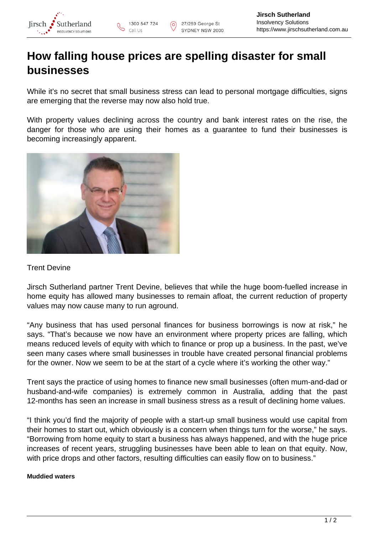

## **How falling house prices are spelling disaster for small businesses**

While it's no secret that small business stress can lead to personal mortgage difficulties, signs are emerging that the reverse may now also hold true.

With property values declining across the country and bank interest rates on the rise, the danger for those who are using their homes as a guarantee to fund their businesses is becoming increasingly apparent.



## Trent Devine

Jirsch Sutherland partner Trent Devine, believes that while the huge boom-fuelled increase in home equity has allowed many businesses to remain afloat, the current reduction of property values may now cause many to run aground.

"Any business that has used personal finances for business borrowings is now at risk," he says. "That's because we now have an environment where property prices are falling, which means reduced levels of equity with which to finance or prop up a business. In the past, we've seen many cases where small businesses in trouble have created personal financial problems for the owner. Now we seem to be at the start of a cycle where it's working the other way."

Trent says the practice of using homes to finance new small businesses (often mum-and-dad or husband-and-wife companies) is extremely common in Australia, adding that the past 12-months has seen an increase in small business stress as a result of declining home values.

"I think you'd find the majority of people with a start-up small business would use capital from their homes to start out, which obviously is a concern when things turn for the worse," he says. "Borrowing from home equity to start a business has always happened, and with the huge price increases of recent years, struggling businesses have been able to lean on that equity. Now, with price drops and other factors, resulting difficulties can easily flow on to business."

## **Muddied waters**